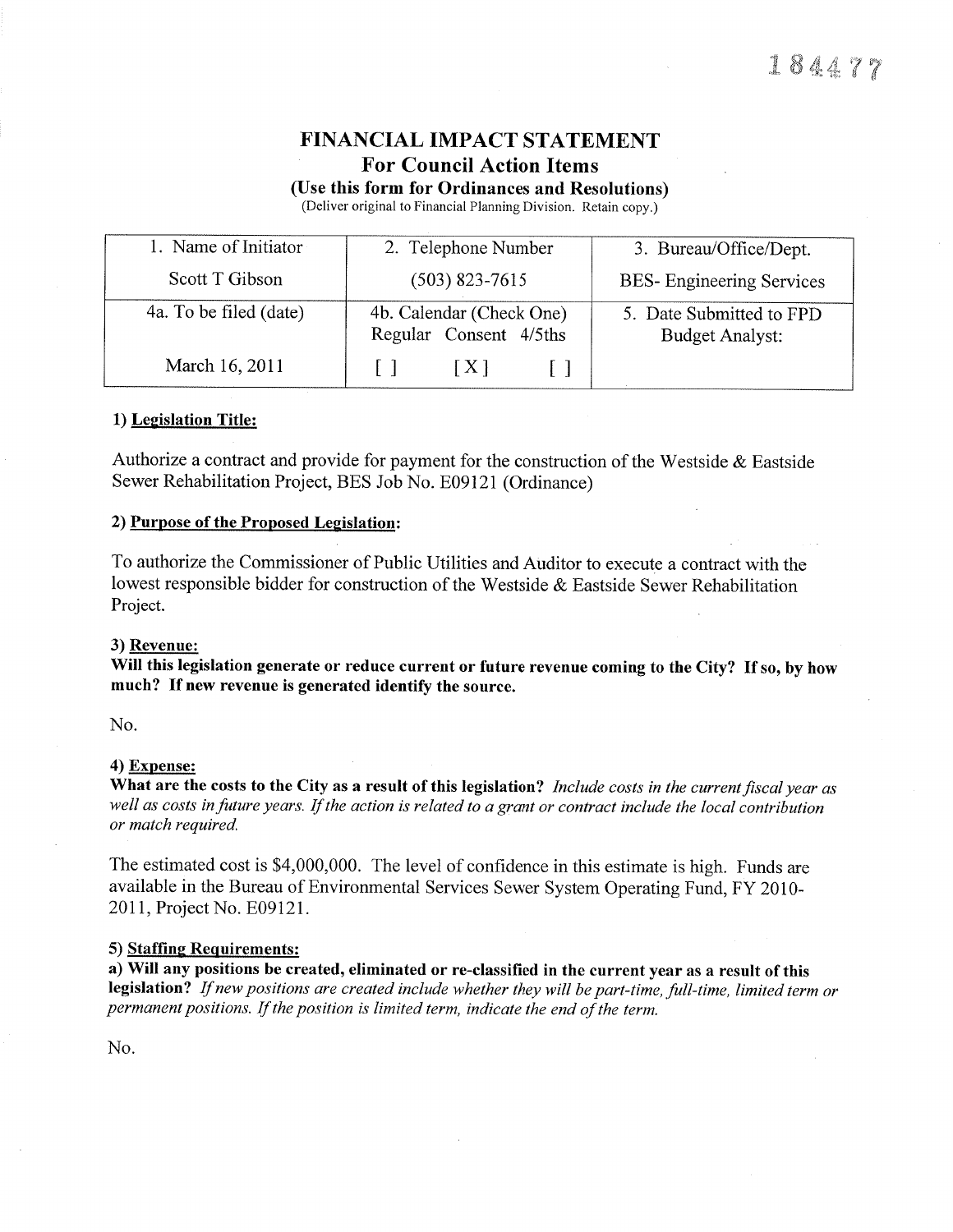# FINANCIAL IMPACT STATEMENT **For Council Action Items**

(Use this form for Ordinances and Resolutions)

(Deliver original to Þ'inancial Planning Division. Retain copy.)

| 1. Name of Initiator   | 2. Telephone Number                                | 3. Bureau/Office/Dept.                             |  |
|------------------------|----------------------------------------------------|----------------------------------------------------|--|
| Scott T Gibson         | $(503)$ 823-7615                                   | <b>BES-</b> Engineering Services                   |  |
| 4a. To be filed (date) | 4b. Calendar (Check One)<br>Regular Consent 4/5ths | 5. Date Submitted to FPD<br><b>Budget Analyst:</b> |  |
| March 16, 2011         | X                                                  |                                                    |  |

### 1) Legislation Title:

Authorize a contract and provide for payment for the construction of the Westside  $\&$  Eastside Sewer Rehabilitation Project, BES Job No. E09l2I (Ordinance)

### 2) Purpose of the Proposed Legislation:

To authorize the Commissioner of Public Utilities and Auditor to execute a contract with the lowest responsible bidder for construction of the Westside & Eastside Sewer Rehabilitation Project.

### 3) Revenue:

Will this legislation generate or reduce current or future revenue coming to the City? If so, by how much? If new revenue is generated identify the source.

No.

### 4) Expense:

What are the costs to the City as a result of this legislation? Include costs in the current fiscal year as well as costs infuture years. If the action is related to a grant or contract include the local contribution or match required.

The estimated cost is \$4,000,000. The level of confidence in this estimate is high. Funds are available in the Bureau of Environmental Services Sewer System Operating Fund, FY 2010 2011, Project No. E09121.

#### 5) Staffing Requirements:

a) Will any positions be created, eliminated or re-classified in the current year as a result of this legislation? If new positions are created include whether they will be part-time, full-time, limited term or permanent positions. If the position is limited term, indicate the end of the term.

No.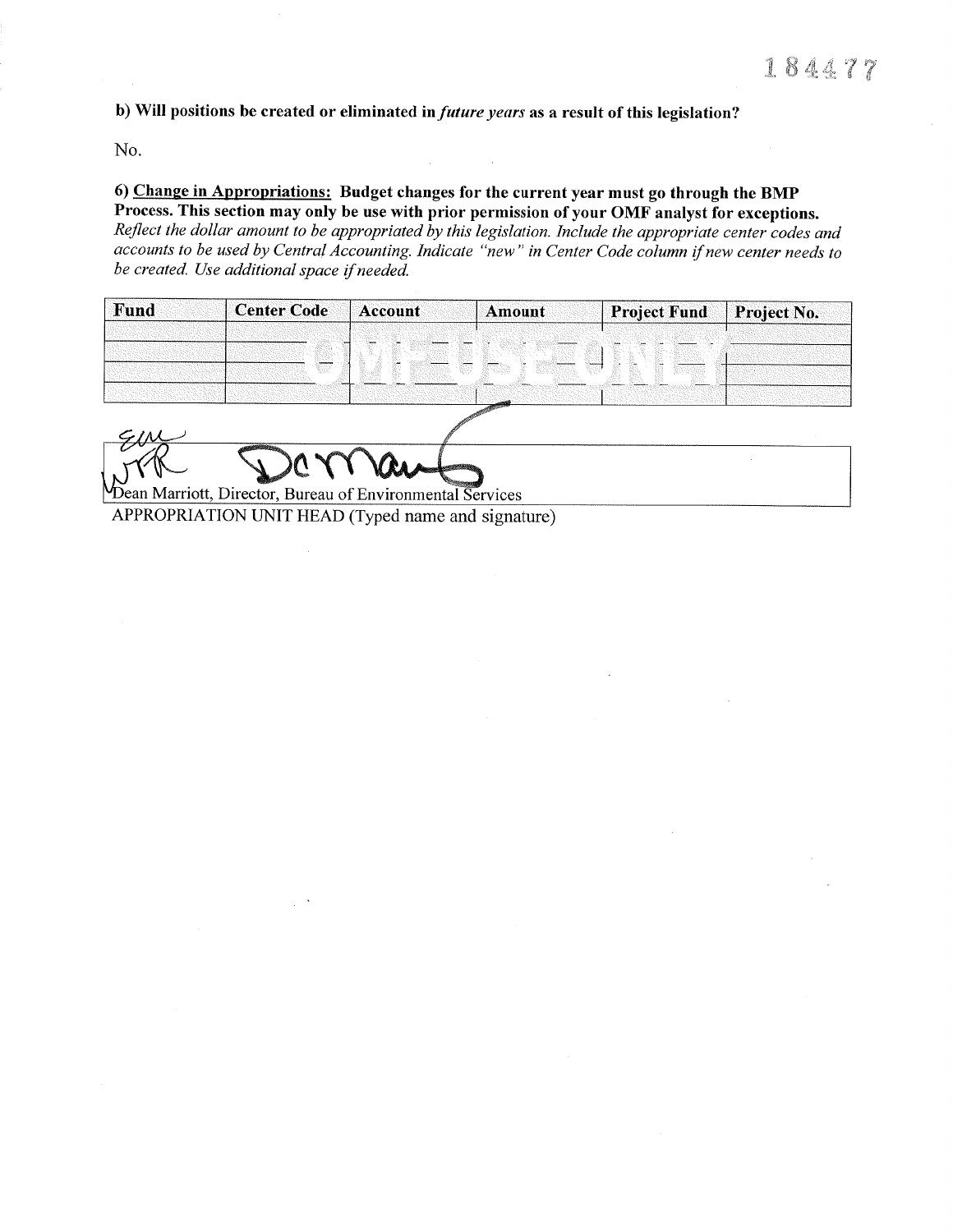b) Will positions be created or eliminated in *future years* as a result of this legislation?

No.

## 6) Change in Appropriations: Budget changes for the current year must go through the BMP Process. This section may only be use with prior permission of your OMF analyst for exceptions.

Reflect the dollar amount to be appropriated by this legislation. Include the appropriate center codes and accounts to be used by Central Accounting. Indicate "new" in Center Code column if new center needs to be created. Use additional space if needed.

| Fund | <b>Center Code</b>              | Account | Amount | <b>Project Fund</b> | Project No. |
|------|---------------------------------|---------|--------|---------------------|-------------|
|      | 89 S.Y<br>------<br>65<br>11332 | 850     |        | 50 - 15             |             |

Dean Marriott, Director, Bureau of Environmental Services

APPROPRIATION UNIT HEAD (Typed name and signature)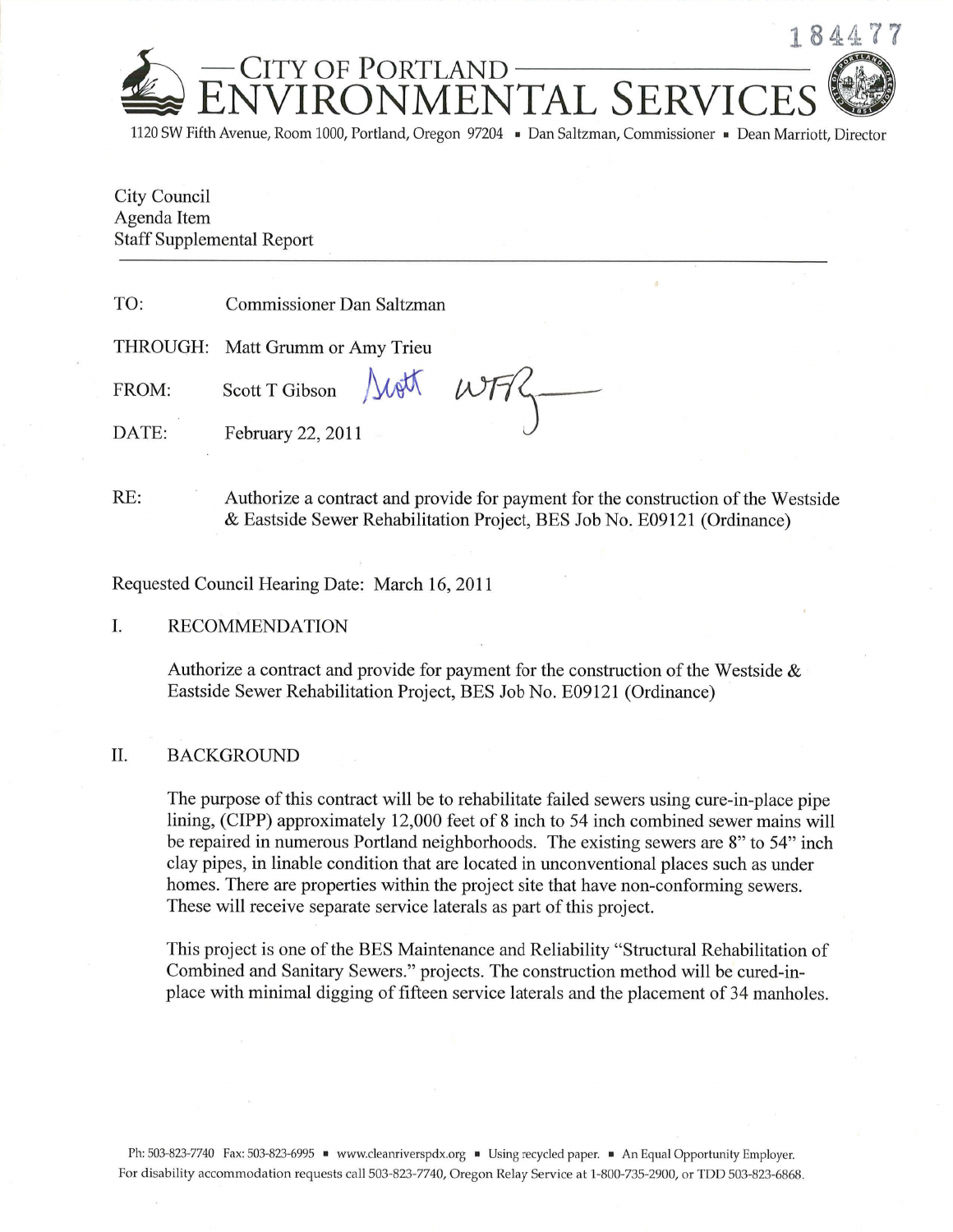

1120 SW Fifth Avenue, Room 1000, Portland, Oregon 97204 · Dan Saltzman, Commissioner · Dean Marriott, Director

City Council City Council<br>Agenda Item Agenda Item Staff Supplemental Report

TO: Commissioner Dan Saltzman

THROUGH: Matt Grumm or Amy Trieu

FROM: Scott T Gibson

DATE: February 22, 2011

RE: Authorize a contract and provide for payment for the construction of the Westside & Eastside Sewer Rehabilitation Project, BES Job No. E09l2I (Ordinance)

hou wit

Requested Council Hearing Date: March 16, 2011

## I. RECOMMENDATION

Authorize a contract and provide for payment for the construction of the Westside  $\&$ Eastside Sewer Rehabilitation Project, BES Job No. E09l2l (Ordinance)

## II. BACKGROUND

The purpose of this contract will be to rehabilitate failed sewers using cure-in-place pipe lining, (CIPP) approximately 12,000 feet of 8 inch to 54 inch combined sewer mains will be repaired in numerous Portland neighborhoods. The existing sewers are 8" to 54" inch clay pipes, in linable condition that are located in unconventional places such as under homes. There are properties within the project site that have non-conforming sewers. These will receive separate service laterals as part of this project.

This project is one of the BES Maintenance and Reliability "Structural Rehabilitation of Combined and Sanitary Sewers." projects. The construction method will be cured-inplace with minimal digging of fifteen service laterals and the placement of 34 manholes.

Ph: 503-823-7740 Fax: 503-823-6995 v www.cleanriverspdx.org Using recycled paper. An Equal Opportunity Employer. For disability accommodation requests call 503-823-7740, Oregon Relay Service at 1-800-735-2900, or TDD 503-823-6868.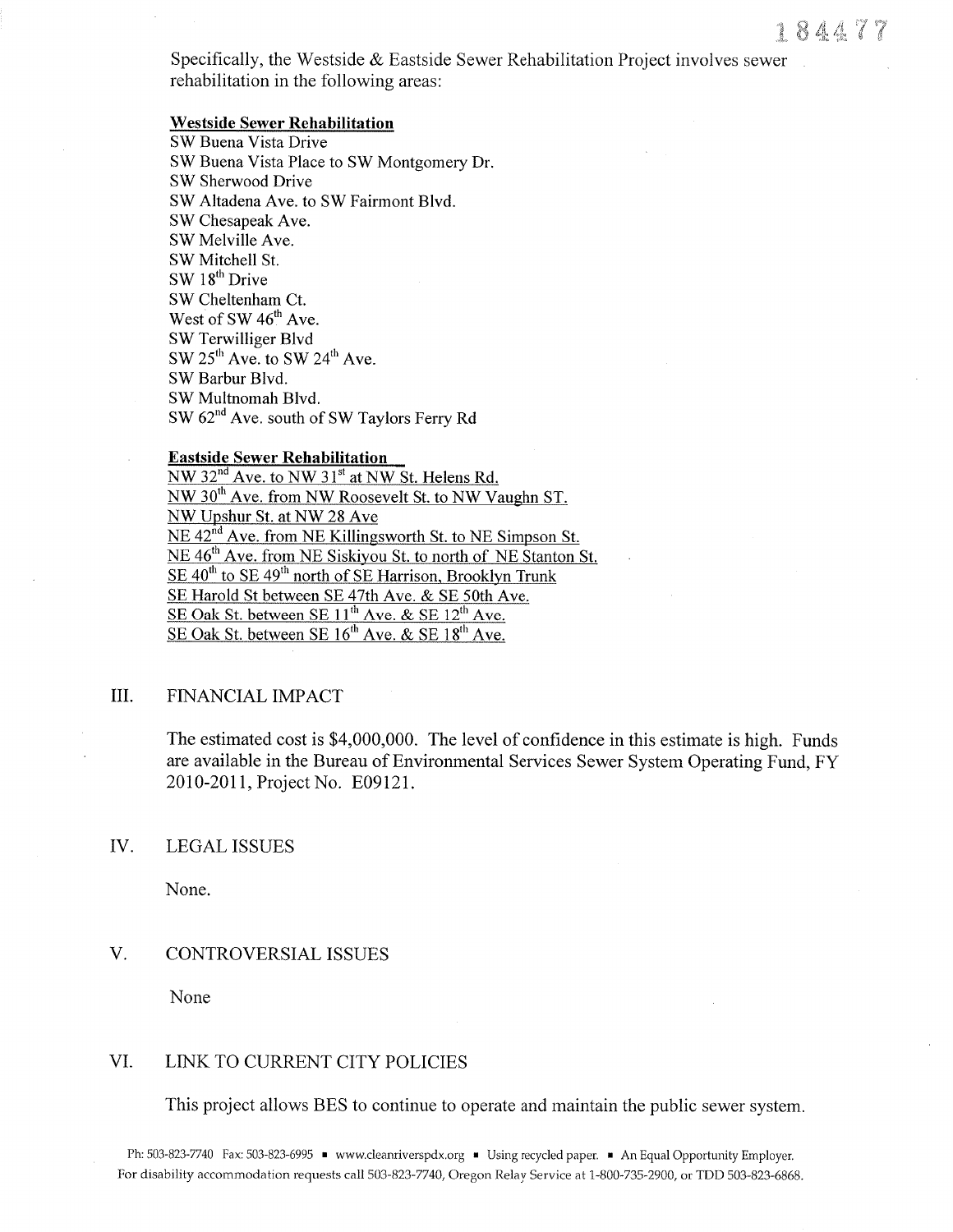Specifically, the Westside  $\&$  Eastside Sewer Rehabilitation Project involves sewer rehabilitation in the following areas:

### **Westside Sewer Rehabilitation**

SW Buena Vista Drive SW Buena Vista Place to SW Montgomery Dr. SW Sherwood Drive SW Altadena Ave. to SW Fairmont Blvd. SW Chesapeak Ave. SW Melville Ave. SW Mitchell St. SW 18<sup>th</sup> Drive SW Cheltenham Ct. West of SW 46<sup>th</sup> Ave. SW Terwilliger Blvd SW 25<sup>th</sup> Ave. to SW 24<sup>th</sup> Ave. SW Barbur Blvd. SW Multnomah Blvd. SW 62<sup>nd</sup> Ave. south of SW Taylors Ferry Rd

## **Eastside Sewer Rehabilitation**

NW 32<sup>nd</sup> Ave. to NW 31<sup>st</sup> at NW St. Helens Rd.  $NW 30<sup>th</sup>$  Ave. from NW Roosevelt St. to NW Vaughn ST. NW Upshur St. at NW 28 Ave NE 42<sup>nd</sup> Ave. from NE Killingsworth St. to NE Simpson St. NE 46<sup>th</sup> Ave. from NE Siskiyou St. to north of NE Stanton St.  $SE$  40<sup>th</sup> to SE 49<sup>th</sup> north of SE Harrison, Brooklyn Trunk SE Harold St between SE 47th Ave. & SE 50th Ave. SE Oak St. between SE 11<sup>th</sup> Aye. & SE 12<sup>th</sup> Ave. SE Oak St. between SE  $16^{th}$  Ave. & SE  $18^{th}$  Ave.

#### III. FINANCIAL IMPACT

The estimated cost is \$4,000,000. The level of confidence in this estimate is high. Funds are available in the Bureau of Environmental Services Sewer System Operating Fund, FY 2010-2011, Project No. E09121.

#### IV. **LEGAL ISSUES**

None.

#### $V_{\cdot}$ **CONTROVERSIAL ISSUES**

None

#### VI. LINK TO CURRENT CITY POLICIES

This project allows BES to continue to operate and maintain the public sewer system.